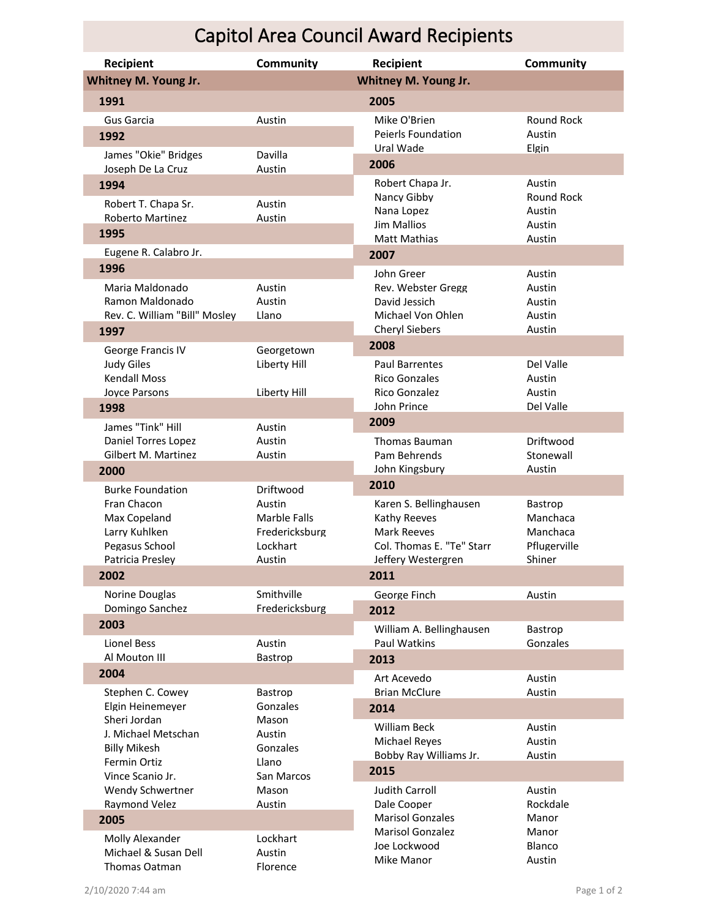## Capitol Area Council Award Recipients

| Recipient                                                                          | <b>Community</b>                                                      | <b>Recipient</b>                                                                                         | <b>Community</b>                                          |
|------------------------------------------------------------------------------------|-----------------------------------------------------------------------|----------------------------------------------------------------------------------------------------------|-----------------------------------------------------------|
| Whitney M. Young Jr.                                                               |                                                                       | Whitney M. Young Jr.                                                                                     |                                                           |
| 1991                                                                               |                                                                       | 2005                                                                                                     |                                                           |
| Gus Garcia<br>1992                                                                 | Austin                                                                | Mike O'Brien<br>Peierls Foundation<br>Ural Wade                                                          | Round Rock<br>Austin<br>Elgin                             |
| James "Okie" Bridges<br>Joseph De La Cruz                                          | Davilla<br>Austin                                                     | 2006                                                                                                     |                                                           |
| 1994                                                                               |                                                                       | Robert Chapa Jr.                                                                                         | Austin                                                    |
| Robert T. Chapa Sr.<br><b>Roberto Martinez</b><br>1995                             | Austin<br>Austin                                                      | Nancy Gibby<br>Nana Lopez<br><b>Jim Mallios</b><br><b>Matt Mathias</b>                                   | Round Rock<br>Austin<br>Austin<br>Austin                  |
| Eugene R. Calabro Jr.                                                              |                                                                       | 2007                                                                                                     |                                                           |
| 1996                                                                               |                                                                       | John Greer                                                                                               | Austin                                                    |
| Maria Maldonado<br>Ramon Maldonado<br>Rev. C. William "Bill" Mosley<br>1997        | Austin<br>Austin<br>Llano                                             | Rev. Webster Gregg<br>David Jessich<br>Michael Von Ohlen<br><b>Cheryl Siebers</b>                        | Austin<br>Austin<br>Austin<br>Austin                      |
| George Francis IV                                                                  | Georgetown                                                            | 2008                                                                                                     |                                                           |
| <b>Judy Giles</b><br><b>Kendall Moss</b><br>Joyce Parsons                          | Liberty Hill<br>Liberty Hill                                          | <b>Paul Barrentes</b><br><b>Rico Gonzales</b><br>Rico Gonzalez<br>John Prince                            | Del Valle<br>Austin<br>Austin<br>Del Valle                |
| 1998                                                                               |                                                                       | 2009                                                                                                     |                                                           |
| James "Tink" Hill<br>Daniel Torres Lopez<br>Gilbert M. Martinez<br>2000            | Austin<br>Austin<br>Austin                                            | <b>Thomas Bauman</b><br>Pam Behrends<br>John Kingsbury                                                   | Driftwood<br>Stonewall<br>Austin                          |
| <b>Burke Foundation</b>                                                            | Driftwood                                                             | 2010                                                                                                     |                                                           |
| Fran Chacon<br>Max Copeland<br>Larry Kuhlken<br>Pegasus School<br>Patricia Presley | Austin<br><b>Marble Falls</b><br>Fredericksburg<br>Lockhart<br>Austin | Karen S. Bellinghausen<br>Kathy Reeves<br>Mark Reeves<br>Col. Thomas E. "Te" Starr<br>Jeffery Westergren | Bastrop<br>Manchaca<br>Manchaca<br>Pflugerville<br>Shiner |
| 2002                                                                               |                                                                       | 2011                                                                                                     |                                                           |
| Norine Douglas<br>Domingo Sanchez<br>2003                                          | Smithville<br>Fredericksburg                                          | George Finch<br>2012                                                                                     | Austin                                                    |
| <b>Lionel Bess</b><br>Al Mouton III                                                | Austin<br>Bastrop                                                     | William A. Bellinghausen<br>Paul Watkins<br>2013                                                         | Bastrop<br>Gonzales                                       |
| 2004                                                                               |                                                                       | Art Acevedo                                                                                              | Austin                                                    |
| Stephen C. Cowey                                                                   | Bastrop                                                               | <b>Brian McClure</b>                                                                                     | Austin                                                    |
| Elgin Heinemeyer<br>Sheri Jordan                                                   | Gonzales<br>Mason                                                     | 2014                                                                                                     |                                                           |
| J. Michael Metschan<br><b>Billy Mikesh</b><br>Fermin Ortiz<br>Vince Scanio Jr.     | Austin<br>Gonzales<br>Llano<br>San Marcos                             | William Beck<br><b>Michael Reves</b><br>Bobby Ray Williams Jr.<br>2015                                   | Austin<br>Austin<br>Austin                                |
| Wendy Schwertner                                                                   | Mason                                                                 | Judith Carroll                                                                                           | Austin                                                    |
| Raymond Velez                                                                      | Austin                                                                | Dale Cooper                                                                                              | Rockdale                                                  |
| 2005<br>Molly Alexander<br>Michael & Susan Dell<br>Thomas Oatman                   | Lockhart<br>Austin<br>Florence                                        | <b>Marisol Gonzales</b><br><b>Marisol Gonzalez</b><br>Joe Lockwood<br>Mike Manor                         | Manor<br>Manor<br>Blanco<br>Austin                        |